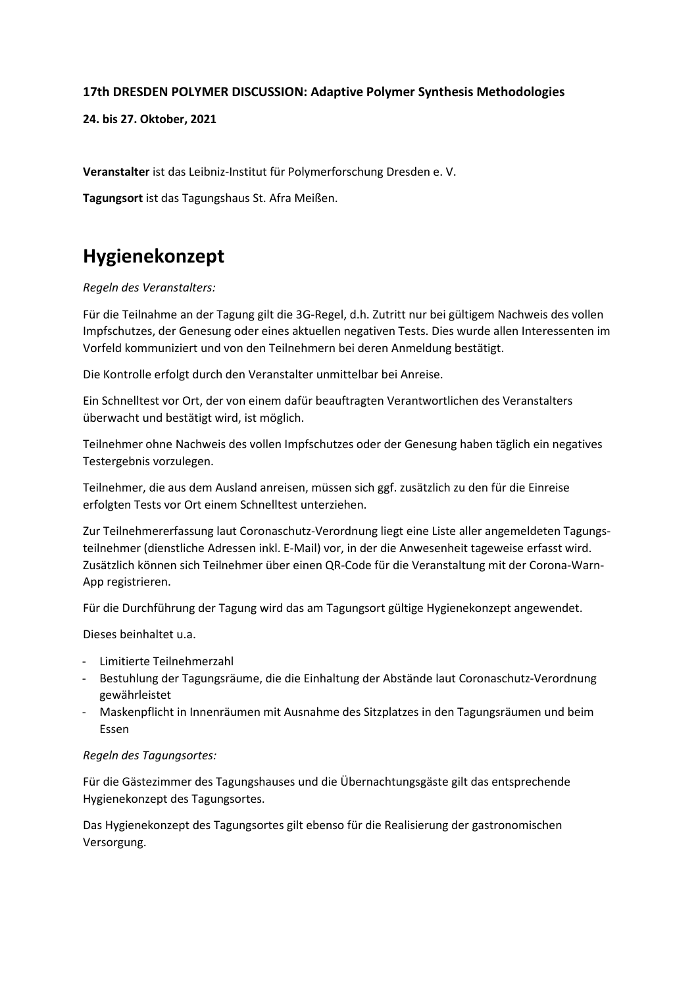## **17th DRESDEN POLYMER DISCUSSION: Adaptive Polymer Synthesis Methodologies**

**24. bis 27. Oktober, 2021**

**Veranstalter** ist das Leibniz-Institut für Polymerforschung Dresden e. V.

**Tagungsort** ist das Tagungshaus St. Afra Meißen.

# **Hygienekonzept**

*Regeln des Veranstalters:*

Für die Teilnahme an der Tagung gilt die 3G-Regel, d.h. Zutritt nur bei gültigem Nachweis des vollen Impfschutzes, der Genesung oder eines aktuellen negativen Tests. Dies wurde allen Interessenten im Vorfeld kommuniziert und von den Teilnehmern bei deren Anmeldung bestätigt.

Die Kontrolle erfolgt durch den Veranstalter unmittelbar bei Anreise.

Ein Schnelltest vor Ort, der von einem dafür beauftragten Verantwortlichen des Veranstalters überwacht und bestätigt wird, ist möglich.

Teilnehmer ohne Nachweis des vollen Impfschutzes oder der Genesung haben täglich ein negatives Testergebnis vorzulegen.

Teilnehmer, die aus dem Ausland anreisen, müssen sich ggf. zusätzlich zu den für die Einreise erfolgten Tests vor Ort einem Schnelltest unterziehen.

Zur Teilnehmererfassung laut Coronaschutz-Verordnung liegt eine Liste aller angemeldeten Tagungsteilnehmer (dienstliche Adressen inkl. E-Mail) vor, in der die Anwesenheit tageweise erfasst wird. Zusätzlich können sich Teilnehmer über einen QR-Code für die Veranstaltung mit der Corona-Warn-App registrieren.

Für die Durchführung der Tagung wird das am Tagungsort gültige Hygienekonzept angewendet.

Dieses beinhaltet u.a.

- Limitierte Teilnehmerzahl
- Bestuhlung der Tagungsräume, die die Einhaltung der Abstände laut Coronaschutz-Verordnung gewährleistet
- Maskenpflicht in Innenräumen mit Ausnahme des Sitzplatzes in den Tagungsräumen und beim Essen

#### *Regeln des Tagungsortes:*

Für die Gästezimmer des Tagungshauses und die Übernachtungsgäste gilt das entsprechende Hygienekonzept des Tagungsortes.

Das Hygienekonzept des Tagungsortes gilt ebenso für die Realisierung der gastronomischen Versorgung.